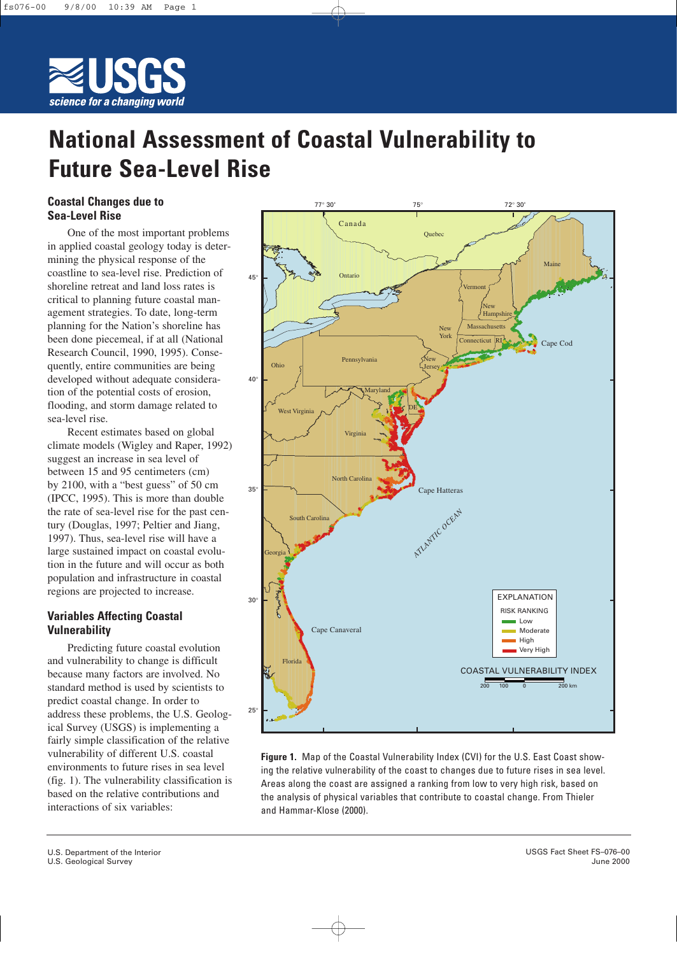

# **National Assessment of Coastal Vulnerability to Future Sea-Level Rise**

## **Coastal Changes due to Sea-Level Rise**

One of the most important problems in applied coastal geology today is determining the physical response of the coastline to sea-level rise. Prediction of shoreline retreat and land loss rates is critical to planning future coastal management strategies. To date, long-term planning for the Nation's shoreline has been done piecemeal, if at all (National Research Council, 1990, 1995). Consequently, entire communities are being developed without adequate consideration of the potential costs of erosion, flooding, and storm damage related to sea-level rise.

Recent estimates based on global climate models (Wigley and Raper, 1992) suggest an increase in sea level of between 15 and 95 centimeters (cm) by 2100, with a "best guess" of 50 cm (IPCC, 1995). This is more than double the rate of sea-level rise for the past century (Douglas, 1997; Peltier and Jiang, 1997). Thus, sea-level rise will have a large sustained impact on coastal evolution in the future and will occur as both population and infrastructure in coastal regions are projected to increase.

# **Variables Affecting Coastal Vulnerability**

Predicting future coastal evolution and vulnerability to change is difficult because many factors are involved. No standard method is used by scientists to predict coastal change. In order to address these problems, the U.S. Geological Survey (USGS) is implementing a fairly simple classification of the relative vulnerability of different U.S. coastal environments to future rises in sea level (fig. 1). The vulnerability classification is based on the relative contributions and interactions of six variables:



**Figure 1.** Map of the Coastal Vulnerability Index (CVI) for the U.S. East Coast showing the relative vulnerability of the coast to changes due to future rises in sea level. Areas along the coast are assigned a ranking from low to very high risk, based on the analysis of physical variables that contribute to coastal change. From Thieler and Hammar-Klose (2000).